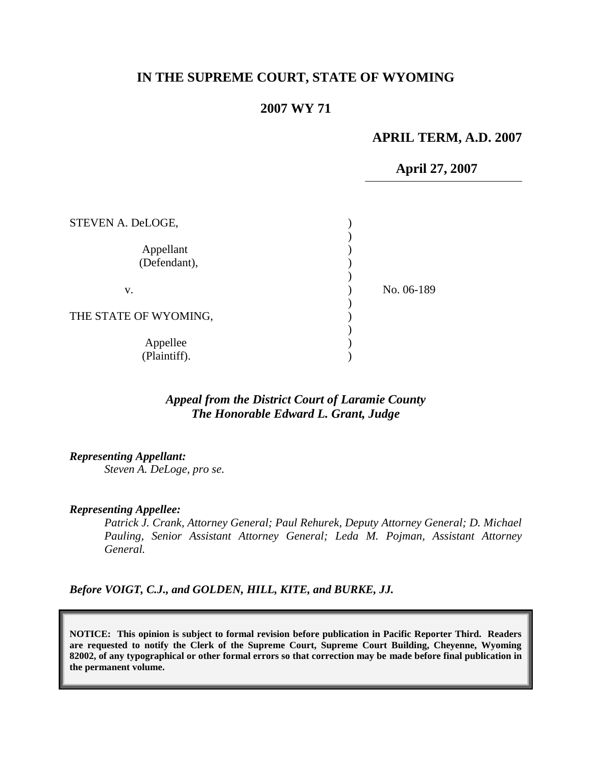## **IN THE SUPREME COURT, STATE OF WYOMING**

# **2007 WY 71**

#### **APRIL TERM, A.D. 2007**

**April 27, 2007**

| STEVEN A. DeLOGE,         |            |
|---------------------------|------------|
| Appellant<br>(Defendant), |            |
| v.                        | No. 06-189 |
| THE STATE OF WYOMING,     |            |
| Appellee<br>(Plaintiff).  |            |

## *Appeal from the District Court of Laramie County The Honorable Edward L. Grant, Judge*

*Representing Appellant:*

*Steven A. DeLoge, pro se.*

#### *Representing Appellee:*

*Patrick J. Crank, Attorney General; Paul Rehurek, Deputy Attorney General; D. Michael Pauling, Senior Assistant Attorney General; Leda M. Pojman, Assistant Attorney General.*

*Before VOIGT, C.J., and GOLDEN, HILL, KITE, and BURKE, JJ.*

**NOTICE: This opinion is subject to formal revision before publication in Pacific Reporter Third. Readers are requested to notify the Clerk of the Supreme Court, Supreme Court Building, Cheyenne, Wyoming 82002, of any typographical or other formal errors so that correction may be made before final publication in the permanent volume.**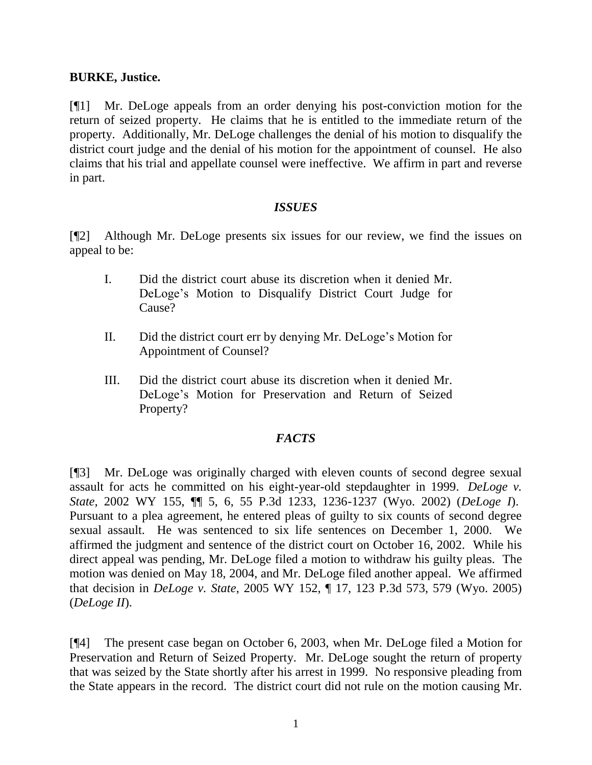#### **BURKE, Justice.**

[¶1] Mr. DeLoge appeals from an order denying his post-conviction motion for the return of seized property. He claims that he is entitled to the immediate return of the property. Additionally, Mr. DeLoge challenges the denial of his motion to disqualify the district court judge and the denial of his motion for the appointment of counsel. He also claims that his trial and appellate counsel were ineffective. We affirm in part and reverse in part.

#### *ISSUES*

[¶2] Although Mr. DeLoge presents six issues for our review, we find the issues on appeal to be:

- I. Did the district court abuse its discretion when it denied Mr. DeLoge"s Motion to Disqualify District Court Judge for Cause?
- II. Did the district court err by denying Mr. DeLoge"s Motion for Appointment of Counsel?
- III. Did the district court abuse its discretion when it denied Mr. DeLoge"s Motion for Preservation and Return of Seized Property?

### *FACTS*

[¶3] Mr. DeLoge was originally charged with eleven counts of second degree sexual assault for acts he committed on his eight-year-old stepdaughter in 1999. *DeLoge v. State,* 2002 WY 155, ¶¶ 5, 6, 55 P.3d 1233, 1236-1237 (Wyo. 2002) (*DeLoge I*). Pursuant to a plea agreement, he entered pleas of guilty to six counts of second degree sexual assault. He was sentenced to six life sentences on December 1, 2000. We affirmed the judgment and sentence of the district court on October 16, 2002. While his direct appeal was pending, Mr. DeLoge filed a motion to withdraw his guilty pleas. The motion was denied on May 18, 2004, and Mr. DeLoge filed another appeal. We affirmed that decision in *DeLoge v. State*, 2005 WY 152, ¶ 17, 123 P.3d 573, 579 (Wyo. 2005) (*DeLoge II*).

[¶4] The present case began on October 6, 2003, when Mr. DeLoge filed a Motion for Preservation and Return of Seized Property. Mr. DeLoge sought the return of property that was seized by the State shortly after his arrest in 1999. No responsive pleading from the State appears in the record. The district court did not rule on the motion causing Mr.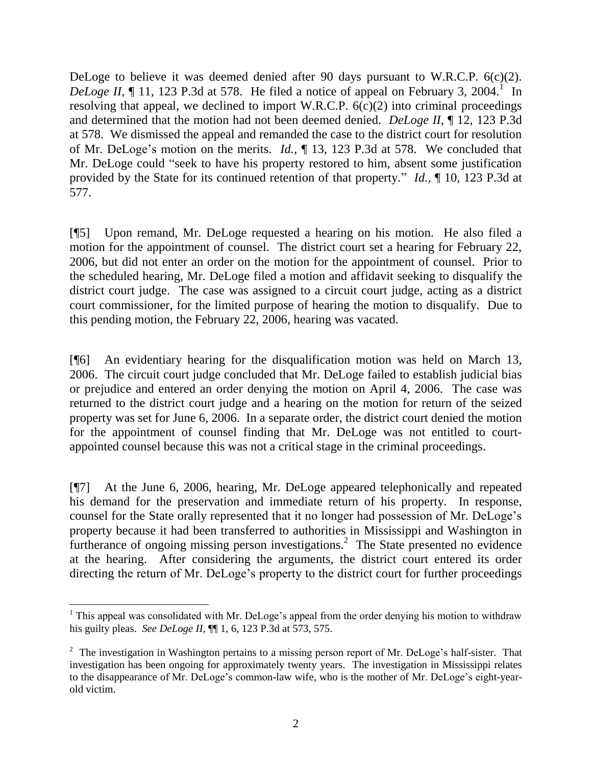DeLoge to believe it was deemed denied after 90 days pursuant to W.R.C.P. 6(c)(2). *DeLoge II*,  $\P$  11, 123 P.3d at 578. He filed a notice of appeal on February 3, 2004.<sup>1</sup> In resolving that appeal, we declined to import W.R.C.P.  $6(c)(2)$  into criminal proceedings and determined that the motion had not been deemed denied. *DeLoge II*, ¶ 12, 123 P.3d at 578. We dismissed the appeal and remanded the case to the district court for resolution of Mr. DeLoge"s motion on the merits. *Id.*, ¶ 13, 123 P.3d at 578. We concluded that Mr. DeLoge could "seek to have his property restored to him, absent some justification provided by the State for its continued retention of that property." *Id.,* ¶ 10, 123 P.3d at 577.

[¶5] Upon remand, Mr. DeLoge requested a hearing on his motion. He also filed a motion for the appointment of counsel. The district court set a hearing for February 22, 2006, but did not enter an order on the motion for the appointment of counsel. Prior to the scheduled hearing, Mr. DeLoge filed a motion and affidavit seeking to disqualify the district court judge. The case was assigned to a circuit court judge, acting as a district court commissioner, for the limited purpose of hearing the motion to disqualify. Due to this pending motion, the February 22, 2006, hearing was vacated.

[¶6] An evidentiary hearing for the disqualification motion was held on March 13, 2006. The circuit court judge concluded that Mr. DeLoge failed to establish judicial bias or prejudice and entered an order denying the motion on April 4, 2006. The case was returned to the district court judge and a hearing on the motion for return of the seized property was set for June 6, 2006. In a separate order, the district court denied the motion for the appointment of counsel finding that Mr. DeLoge was not entitled to courtappointed counsel because this was not a critical stage in the criminal proceedings.

[¶7] At the June 6, 2006, hearing, Mr. DeLoge appeared telephonically and repeated his demand for the preservation and immediate return of his property. In response, counsel for the State orally represented that it no longer had possession of Mr. DeLoge"s property because it had been transferred to authorities in Mississippi and Washington in furtherance of ongoing missing person investigations.<sup>2</sup> The State presented no evidence at the hearing. After considering the arguments, the district court entered its order directing the return of Mr. DeLoge"s property to the district court for further proceedings

 $\overline{a}$ <sup>1</sup> This appeal was consolidated with Mr. DeLoge's appeal from the order denying his motion to withdraw his guilty pleas. *See DeLoge II*, ¶¶ 1, 6, 123 P.3d at 573, 575.

 $2^2$  The investigation in Washington pertains to a missing person report of Mr. DeLoge's half-sister. That investigation has been ongoing for approximately twenty years. The investigation in Mississippi relates to the disappearance of Mr. DeLoge's common-law wife, who is the mother of Mr. DeLoge's eight-yearold victim.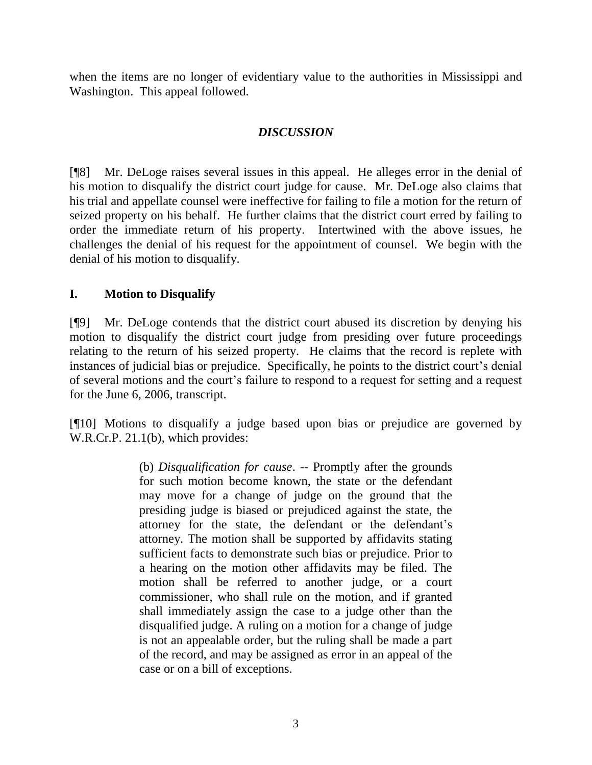when the items are no longer of evidentiary value to the authorities in Mississippi and Washington. This appeal followed.

# *DISCUSSION*

[¶8] Mr. DeLoge raises several issues in this appeal. He alleges error in the denial of his motion to disqualify the district court judge for cause. Mr. DeLoge also claims that his trial and appellate counsel were ineffective for failing to file a motion for the return of seized property on his behalf. He further claims that the district court erred by failing to order the immediate return of his property. Intertwined with the above issues, he challenges the denial of his request for the appointment of counsel. We begin with the denial of his motion to disqualify.

### **I. Motion to Disqualify**

[¶9] Mr. DeLoge contends that the district court abused its discretion by denying his motion to disqualify the district court judge from presiding over future proceedings relating to the return of his seized property. He claims that the record is replete with instances of judicial bias or prejudice. Specifically, he points to the district court's denial of several motions and the court"s failure to respond to a request for setting and a request for the June 6, 2006, transcript.

[¶10] Motions to disqualify a judge based upon bias or prejudice are governed by W.R.Cr.P. 21.1(b), which provides:

> (b) *Disqualification for cause*. -- Promptly after the grounds for such motion become known, the state or the defendant may move for a change of judge on the ground that the presiding judge is biased or prejudiced against the state, the attorney for the state, the defendant or the defendant"s attorney. The motion shall be supported by affidavits stating sufficient facts to demonstrate such bias or prejudice. Prior to a hearing on the motion other affidavits may be filed. The motion shall be referred to another judge, or a court commissioner, who shall rule on the motion, and if granted shall immediately assign the case to a judge other than the disqualified judge. A ruling on a motion for a change of judge is not an appealable order, but the ruling shall be made a part of the record, and may be assigned as error in an appeal of the case or on a bill of exceptions.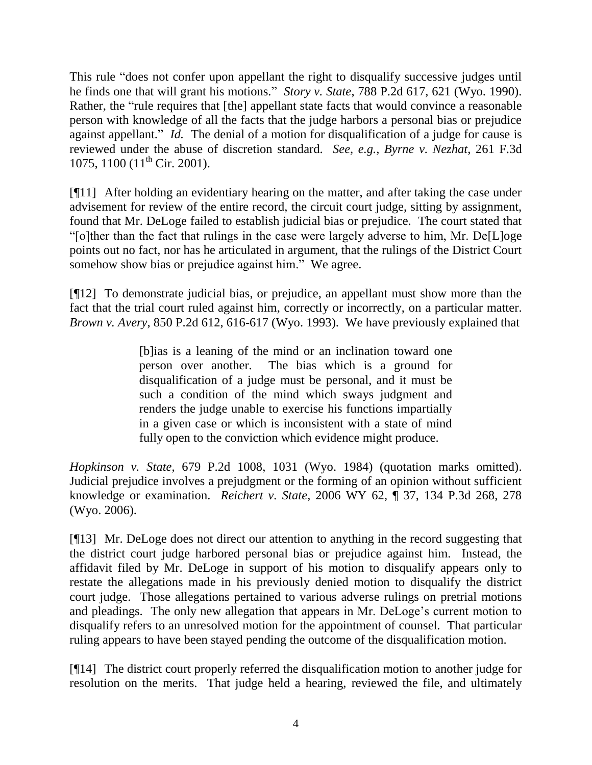This rule "does not confer upon appellant the right to disqualify successive judges until he finds one that will grant his motions." *Story v. State*, 788 P.2d 617, 621 (Wyo. 1990). Rather, the "rule requires that [the] appellant state facts that would convince a reasonable person with knowledge of all the facts that the judge harbors a personal bias or prejudice against appellant." *Id.* The denial of a motion for disqualification of a judge for cause is reviewed under the abuse of discretion standard. *See, e.g., Byrne v. Nezhat*, 261 F.3d 1075, 1100 (11<sup>th</sup> Cir. 2001).

[¶11] After holding an evidentiary hearing on the matter, and after taking the case under advisement for review of the entire record, the circuit court judge, sitting by assignment, found that Mr. DeLoge failed to establish judicial bias or prejudice. The court stated that "[o]ther than the fact that rulings in the case were largely adverse to him, Mr. De[L]oge points out no fact, nor has he articulated in argument, that the rulings of the District Court somehow show bias or prejudice against him." We agree.

[¶12] To demonstrate judicial bias, or prejudice, an appellant must show more than the fact that the trial court ruled against him, correctly or incorrectly, on a particular matter. *Brown v. Avery*, 850 P.2d 612, 616-617 (Wyo. 1993). We have previously explained that

> [b]ias is a leaning of the mind or an inclination toward one person over another. The bias which is a ground for disqualification of a judge must be personal, and it must be such a condition of the mind which sways judgment and renders the judge unable to exercise his functions impartially in a given case or which is inconsistent with a state of mind fully open to the conviction which evidence might produce.

*Hopkinson v. State*, 679 P.2d 1008, 1031 (Wyo. 1984) (quotation marks omitted). Judicial prejudice involves a prejudgment or the forming of an opinion without sufficient knowledge or examination. *Reichert v. State*, 2006 WY 62, ¶ 37, 134 P.3d 268, 278 (Wyo. 2006).

[¶13] Mr. DeLoge does not direct our attention to anything in the record suggesting that the district court judge harbored personal bias or prejudice against him. Instead, the affidavit filed by Mr. DeLoge in support of his motion to disqualify appears only to restate the allegations made in his previously denied motion to disqualify the district court judge. Those allegations pertained to various adverse rulings on pretrial motions and pleadings. The only new allegation that appears in Mr. DeLoge's current motion to disqualify refers to an unresolved motion for the appointment of counsel. That particular ruling appears to have been stayed pending the outcome of the disqualification motion.

[¶14] The district court properly referred the disqualification motion to another judge for resolution on the merits. That judge held a hearing, reviewed the file, and ultimately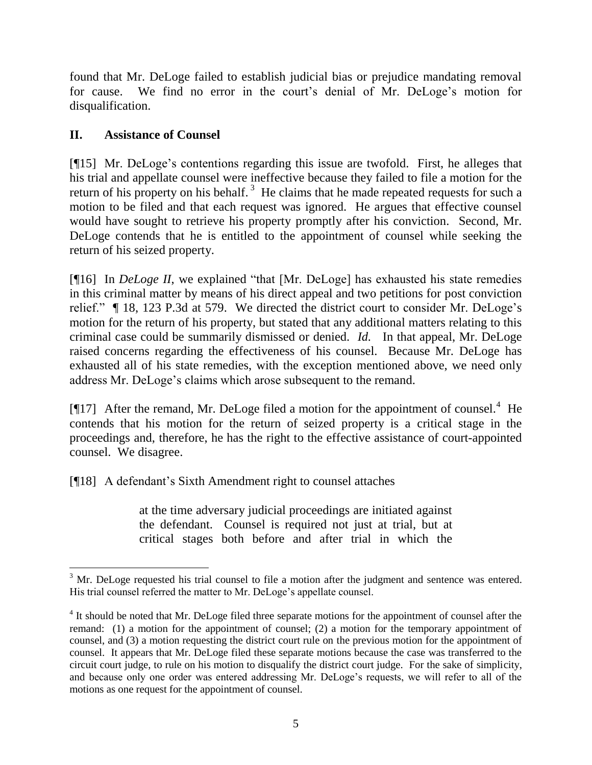found that Mr. DeLoge failed to establish judicial bias or prejudice mandating removal for cause. We find no error in the court's denial of Mr. DeLoge's motion for disqualification.

# **II. Assistance of Counsel**

 $\overline{a}$ 

[¶15] Mr. DeLoge's contentions regarding this issue are twofold. First, he alleges that his trial and appellate counsel were ineffective because they failed to file a motion for the return of his property on his behalf.<sup>3</sup> He claims that he made repeated requests for such a motion to be filed and that each request was ignored. He argues that effective counsel would have sought to retrieve his property promptly after his conviction. Second, Mr. DeLoge contends that he is entitled to the appointment of counsel while seeking the return of his seized property.

[¶16] In *DeLoge II*, we explained "that [Mr. DeLoge] has exhausted his state remedies in this criminal matter by means of his direct appeal and two petitions for post conviction relief." ¶ 18, 123 P.3d at 579. We directed the district court to consider Mr. DeLoge"s motion for the return of his property, but stated that any additional matters relating to this criminal case could be summarily dismissed or denied. *Id.* In that appeal, Mr. DeLoge raised concerns regarding the effectiveness of his counsel. Because Mr. DeLoge has exhausted all of his state remedies, with the exception mentioned above, we need only address Mr. DeLoge"s claims which arose subsequent to the remand.

[ $[17]$  After the remand, Mr. DeLoge filed a motion for the appointment of counsel.<sup>4</sup> He contends that his motion for the return of seized property is a critical stage in the proceedings and, therefore, he has the right to the effective assistance of court-appointed counsel. We disagree.

[¶18] A defendant"s Sixth Amendment right to counsel attaches

at the time adversary judicial proceedings are initiated against the defendant. Counsel is required not just at trial, but at critical stages both before and after trial in which the

 $3$  Mr. DeLoge requested his trial counsel to file a motion after the judgment and sentence was entered. His trial counsel referred the matter to Mr. DeLoge's appellate counsel.

<sup>&</sup>lt;sup>4</sup> It should be noted that Mr. DeLoge filed three separate motions for the appointment of counsel after the remand: (1) a motion for the appointment of counsel; (2) a motion for the temporary appointment of counsel, and (3) a motion requesting the district court rule on the previous motion for the appointment of counsel. It appears that Mr. DeLoge filed these separate motions because the case was transferred to the circuit court judge, to rule on his motion to disqualify the district court judge. For the sake of simplicity, and because only one order was entered addressing Mr. DeLoge's requests, we will refer to all of the motions as one request for the appointment of counsel.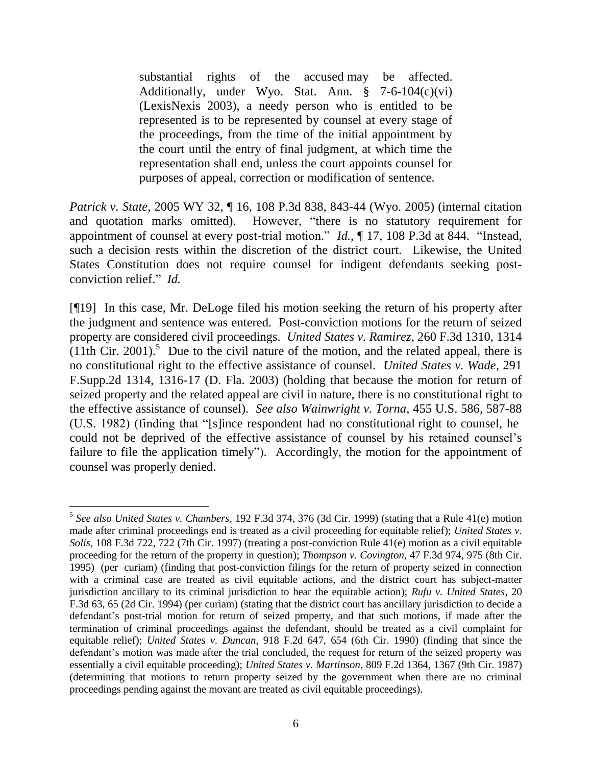substantial rights of the accused may be affected. Additionally, under Wyo. Stat. Ann. § 7-6-104(c)(vi) (LexisNexis 2003), a needy person who is entitled to be represented is to be represented by counsel at every stage of the proceedings, from the time of the initial appointment by the court until the entry of final judgment, at which time the representation shall end, unless the court appoints counsel for purposes of appeal, correction or modification of sentence.

*Patrick v. State*, 2005 WY 32, ¶ 16, 108 P.3d 838, 843-44 (Wyo. 2005) (internal citation and quotation marks omitted). However, "there is no statutory requirement for appointment of counsel at every post-trial motion." *Id.*, ¶ 17, 108 P.3d at 844. "Instead, such a decision rests within the discretion of the district court. Likewise, the United States Constitution does not require counsel for indigent defendants seeking postconviction relief." *Id.*

[¶19] In this case, Mr. DeLoge filed his motion seeking the return of his property after the judgment and sentence was entered. Post-conviction motions for the return of seized property are considered civil proceedings. *United States v. Ramirez*, 260 F.3d 1310, 1314  $(11th$  Cir. 2001).<sup>5</sup> Due to the civil nature of the motion, and the related appeal, there is no constitutional right to the effective assistance of counsel. *[United States v. Wade](http://www.lexis.com/research/xlink?app=00075&view=full&searchtype=get&search=291+F.+Supp.+2d+1316)*, 291 [F.Supp.2d 1314, 1316-17 \(D. Fla. 2003\)](http://www.lexis.com/research/xlink?app=00075&view=full&searchtype=get&search=291+F.+Supp.+2d+1316) (holding that because the motion for return of seized property and the related appeal are civil in nature, there is no constitutional right to the effective assistance of counsel). *See also Wainwright v. Torna*, 455 U.S. 586, 587-88 (U.S. 1982) (finding that "[s]ince respondent had no constitutional right to counsel, he could not be deprived of the effective assistance of counsel by his retained counsel's failure to file the application timely"). Accordingly, the motion for the appointment of counsel was properly denied.

 $\overline{a}$ 5 *See also United States v. Chambers*, 192 F.3d 374, 376 (3d Cir. 1999) (stating that a Rule 41(e) motion made after criminal proceedings end is treated as a civil proceeding for equitable relief); *United States v. Solis*, 108 F.3d 722, 722 (7th Cir. 1997) (treating a post-conviction Rule 41(e) motion as a civil equitable proceeding for the return of the property in question); *Thompson v. Covington*, 47 F.3d 974, 975 (8th Cir. 1995) (per curiam) (finding that post-conviction filings for the return of property seized in connection with a criminal case are treated as civil equitable actions, and the district court has subject-matter jurisdiction ancillary to its criminal jurisdiction to hear the equitable action); *Rufu v. United States*, 20 F.3d 63, 65 (2d Cir. 1994) (per curiam) (stating that the district court has ancillary jurisdiction to decide a defendant's post-trial motion for return of seized property, and that such motions, if made after the termination of criminal proceedings against the defendant, should be treated as a civil complaint for equitable relief); *United States v. Duncan*, 918 F.2d 647, 654 (6th Cir. 1990) (finding that since the defendant's motion was made after the trial concluded, the request for return of the seized property was essentially a civil equitable proceeding); *United States v. Martinson*, 809 F.2d 1364, 1367 (9th Cir. 1987) (determining that motions to return property seized by the government when there are no criminal proceedings pending against the movant are treated as civil equitable proceedings).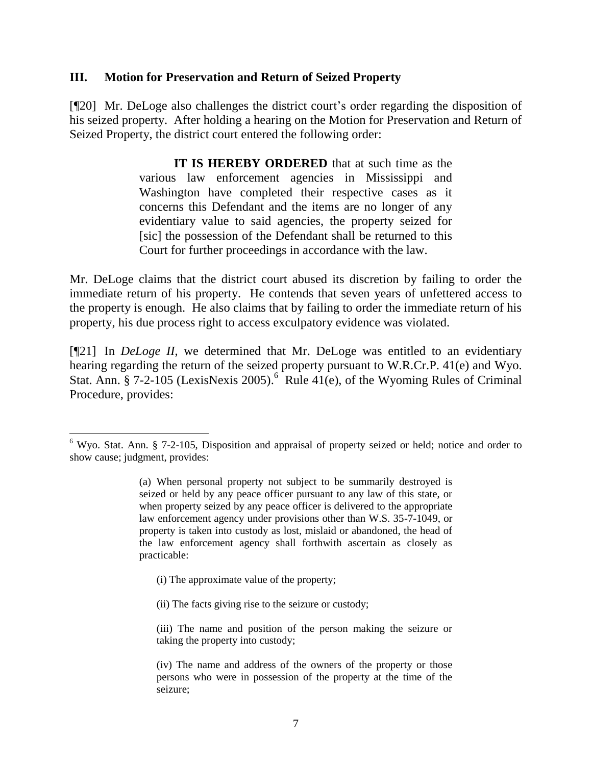#### **III. Motion for Preservation and Return of Seized Property**

[¶20] Mr. DeLoge also challenges the district court's order regarding the disposition of his seized property. After holding a hearing on the Motion for Preservation and Return of Seized Property, the district court entered the following order:

> **IT IS HEREBY ORDERED** that at such time as the various law enforcement agencies in Mississippi and Washington have completed their respective cases as it concerns this Defendant and the items are no longer of any evidentiary value to said agencies, the property seized for [sic] the possession of the Defendant shall be returned to this Court for further proceedings in accordance with the law.

Mr. DeLoge claims that the district court abused its discretion by failing to order the immediate return of his property. He contends that seven years of unfettered access to the property is enough. He also claims that by failing to order the immediate return of his property, his due process right to access exculpatory evidence was violated.

[¶21] In *DeLoge II*, we determined that Mr. DeLoge was entitled to an evidentiary hearing regarding the return of the seized property pursuant to W.R.Cr.P. 41(e) and Wyo. Stat. Ann. § 7-2-105 (LexisNexis 2005).<sup>6</sup> Rule 41(e), of the Wyoming Rules of Criminal Procedure, provides:

(i) The approximate value of the property;

 $\overline{a}$ 

(ii) The facts giving rise to the seizure or custody;

<sup>&</sup>lt;sup>6</sup> Wyo. Stat. Ann. § 7-2-105, Disposition and appraisal of property seized or held; notice and order to show cause; judgment, provides:

<sup>(</sup>a) When personal property not subject to be summarily destroyed is seized or held by any peace officer pursuant to any law of this state, or when property seized by any peace officer is delivered to the appropriate law enforcement agency under provisions other than W.S. 35-7-1049, or property is taken into custody as lost, mislaid or abandoned, the head of the law enforcement agency shall forthwith ascertain as closely as practicable:

<sup>(</sup>iii) The name and position of the person making the seizure or taking the property into custody;

<sup>(</sup>iv) The name and address of the owners of the property or those persons who were in possession of the property at the time of the seizure;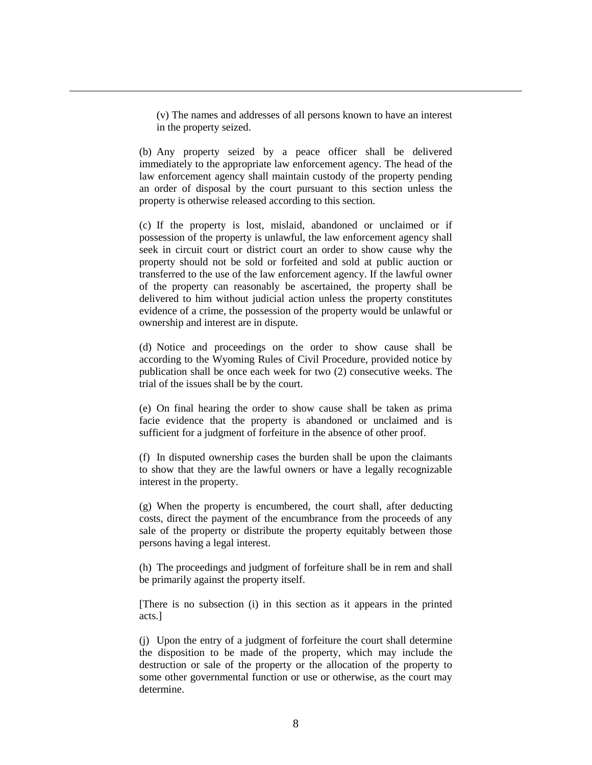(v) The names and addresses of all persons known to have an interest in the property seized.

 $\overline{a}$ 

(b) Any property seized by a peace officer shall be delivered immediately to the appropriate law enforcement agency. The head of the law enforcement agency shall maintain custody of the property pending an order of disposal by the court pursuant to this section unless the property is otherwise released according to this section.

(c) If the property is lost, mislaid, abandoned or unclaimed or if possession of the property is unlawful, the law enforcement agency shall seek in circuit court or district court an order to show cause why the property should not be sold or forfeited and sold at public auction or transferred to the use of the law enforcement agency. If the lawful owner of the property can reasonably be ascertained, the property shall be delivered to him without judicial action unless the property constitutes evidence of a crime, the possession of the property would be unlawful or ownership and interest are in dispute.

(d) Notice and proceedings on the order to show cause shall be according to the Wyoming Rules of Civil Procedure, provided notice by publication shall be once each week for two (2) consecutive weeks. The trial of the issues shall be by the court.

(e) On final hearing the order to show cause shall be taken as prima facie evidence that the property is abandoned or unclaimed and is sufficient for a judgment of forfeiture in the absence of other proof.

(f) In disputed ownership cases the burden shall be upon the claimants to show that they are the lawful owners or have a legally recognizable interest in the property.

(g) When the property is encumbered, the court shall, after deducting costs, direct the payment of the encumbrance from the proceeds of any sale of the property or distribute the property equitably between those persons having a legal interest.

(h) The proceedings and judgment of forfeiture shall be in rem and shall be primarily against the property itself.

[There is no subsection (i) in this section as it appears in the printed acts.]

(j) Upon the entry of a judgment of forfeiture the court shall determine the disposition to be made of the property, which may include the destruction or sale of the property or the allocation of the property to some other governmental function or use or otherwise, as the court may determine.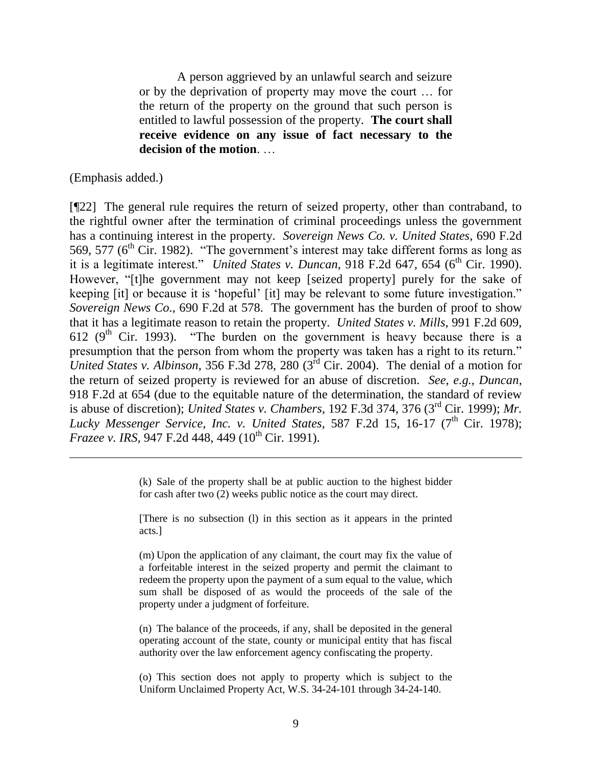A person aggrieved by an unlawful search and seizure or by the deprivation of property may move the court … for the return of the property on the ground that such person is entitled to lawful possession of the property. **The court shall receive evidence on any issue of fact necessary to the decision of the motion**. …

(Emphasis added.)

 $\overline{a}$ 

[¶22] The general rule requires the return of seized property, other than contraband, to the rightful owner after the termination of criminal proceedings unless the government has a continuing interest in the property. *Sovereign News Co. v. United States*, 690 F.2d 569, 577 ( $6<sup>th</sup>$  Cir. 1982). "The government's interest may take different forms as long as it is a legitimate interest." *United States v. Duncan*,  $918$  F.2d  $647$ ,  $654$  ( $6<sup>th</sup>$  Cir. 1990). However, "[t]he government may not keep [seized property] purely for the sake of keeping [it] or because it is "hopeful" [it] may be relevant to some future investigation." *Sovereign News Co*., 690 F.2d at 578. The government has the burden of proof to show that it has a legitimate reason to retain the property. *United States v. Mills*, 991 F.2d 609, 612 ( $9<sup>th</sup>$  Cir. 1993). "The burden on the government is heavy because there is a presumption that the person from whom the property was taken has a right to its return." *United States v. Albinson*, 356 F.3d 278, 280 ( $3^{rd}$  Cir. 2004). The denial of a motion for the return of seized property is reviewed for an abuse of discretion. *See, e.g., Duncan*, 918 F.2d at 654 (due to the equitable nature of the determination, the standard of review is abuse of discretion); *United States v. Chambers*, 192 F.3d 374, 376 (3rd Cir. 1999); *Mr. Lucky Messenger Service, Inc. v. United States, 587 F.2d 15, 16-17 (7<sup>th</sup> Cir. 1978); Frazee v. IRS, 947 F.2d 448, 449 (10<sup>th</sup> Cir. 1991).* 

> (k) Sale of the property shall be at public auction to the highest bidder for cash after two (2) weeks public notice as the court may direct.

> [There is no subsection (l) in this section as it appears in the printed acts.]

> (m) Upon the application of any claimant, the court may fix the value of a forfeitable interest in the seized property and permit the claimant to redeem the property upon the payment of a sum equal to the value, which sum shall be disposed of as would the proceeds of the sale of the property under a judgment of forfeiture.

> (n) The balance of the proceeds, if any, shall be deposited in the general operating account of the state, county or municipal entity that has fiscal authority over the law enforcement agency confiscating the property.

> (o) This section does not apply to property which is subject to the Uniform Unclaimed Property Act, W.S. 34-24-101 through 34-24-140.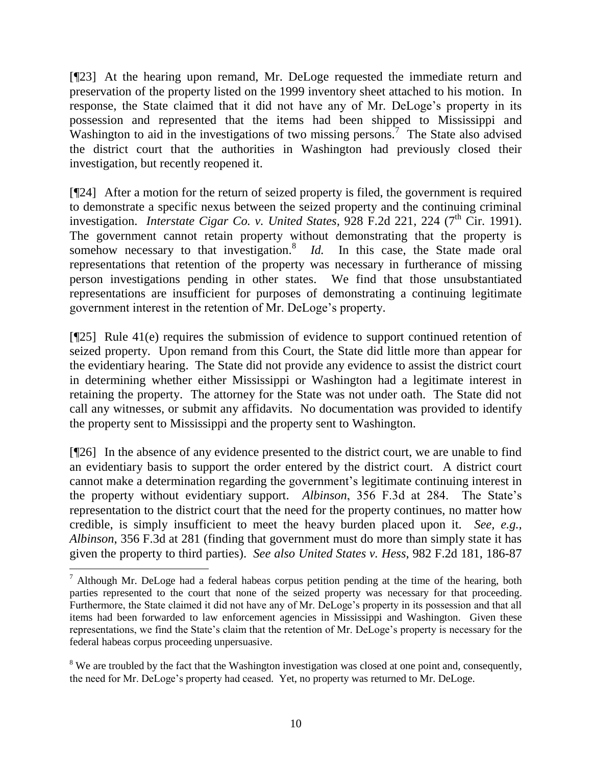[¶23] At the hearing upon remand, Mr. DeLoge requested the immediate return and preservation of the property listed on the 1999 inventory sheet attached to his motion. In response, the State claimed that it did not have any of Mr. DeLoge"s property in its possession and represented that the items had been shipped to Mississippi and Washington to aid in the investigations of two missing persons.<sup>7</sup> The State also advised the district court that the authorities in Washington had previously closed their investigation, but recently reopened it.

[¶24] After a motion for the return of seized property is filed, the government is required to demonstrate a specific nexus between the seized property and the continuing criminal investigation. *Interstate Cigar Co. v. United States*, 928 F.2d 221, 224 (7<sup>th</sup> Cir. 1991). The government cannot retain property without demonstrating that the property is somehow necessary to that investigation.<sup>8</sup> *Id.* In this case, the State made oral representations that retention of the property was necessary in furtherance of missing person investigations pending in other states. We find that those unsubstantiated representations are insufficient for purposes of demonstrating a continuing legitimate government interest in the retention of Mr. DeLoge"s property.

[¶25] Rule 41(e) requires the submission of evidence to support continued retention of seized property. Upon remand from this Court, the State did little more than appear for the evidentiary hearing. The State did not provide any evidence to assist the district court in determining whether either Mississippi or Washington had a legitimate interest in retaining the property. The attorney for the State was not under oath. The State did not call any witnesses, or submit any affidavits. No documentation was provided to identify the property sent to Mississippi and the property sent to Washington.

[¶26] In the absence of any evidence presented to the district court, we are unable to find an evidentiary basis to support the order entered by the district court. A district court cannot make a determination regarding the government's legitimate continuing interest in the property without evidentiary support. *Albinson*, 356 F.3d at 284. The State"s representation to the district court that the need for the property continues, no matter how credible, is simply insufficient to meet the heavy burden placed upon it. *See, e.g., Albinson*, 356 F.3d at 281 (finding that government must do more than simply state it has given the property to third parties). *See also United States v. Hess*, 982 F.2d 181, 186-87

 $\overline{a}$ 

<sup>&</sup>lt;sup>7</sup> Although Mr. DeLoge had a federal habeas corpus petition pending at the time of the hearing, both parties represented to the court that none of the seized property was necessary for that proceeding. Furthermore, the State claimed it did not have any of Mr. DeLoge"s property in its possession and that all items had been forwarded to law enforcement agencies in Mississippi and Washington. Given these representations, we find the State"s claim that the retention of Mr. DeLoge"s property is necessary for the federal habeas corpus proceeding unpersuasive.

<sup>&</sup>lt;sup>8</sup> We are troubled by the fact that the Washington investigation was closed at one point and, consequently, the need for Mr. DeLoge"s property had ceased. Yet, no property was returned to Mr. DeLoge.